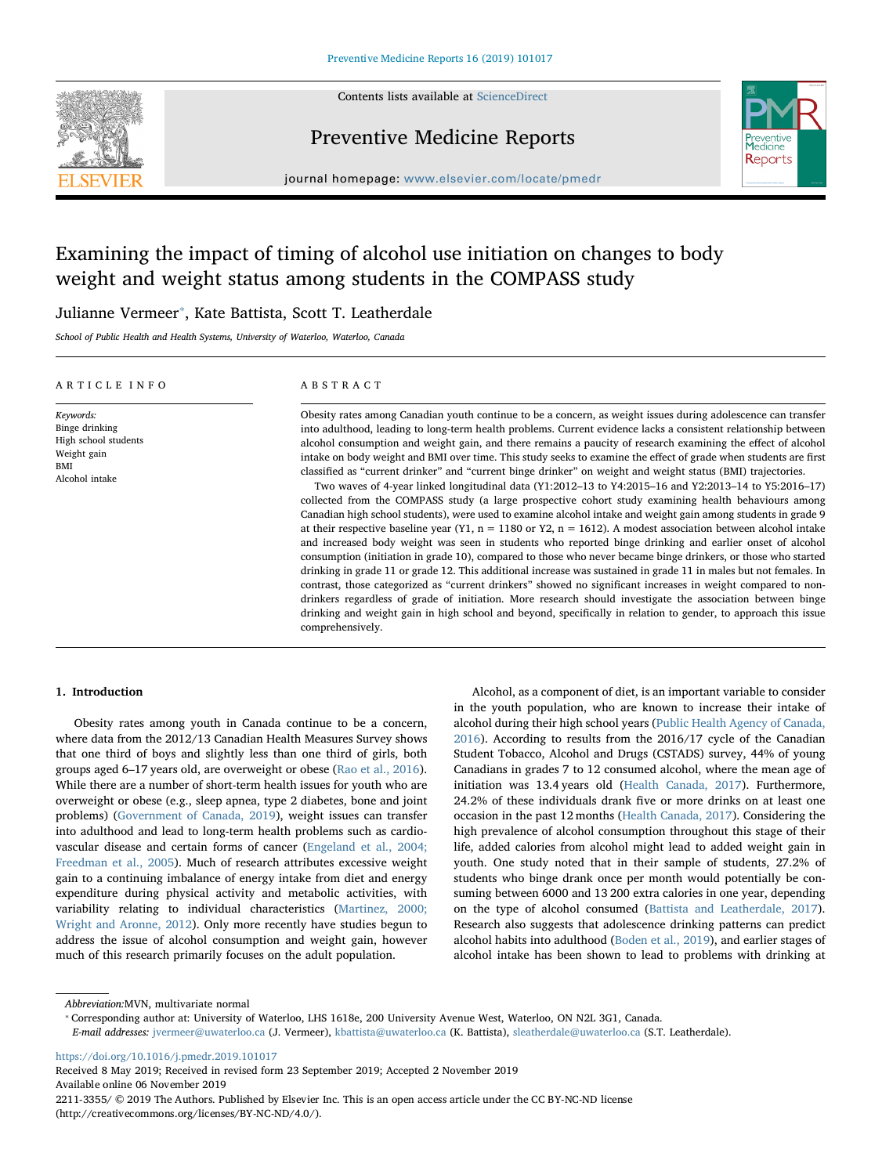

Contents lists available at [ScienceDirect](http://www.sciencedirect.com/science/journal/22113355)

## Preventive Medicine Reports



journal homepage: [www.elsevier.com/locate/pmedr](https://www.elsevier.com/locate/pmedr)

# Examining the impact of timing of alcohol use initiation on changes to body weight and weight status among students in the COMPASS study

## Julianne Vermeer<sup>\*</sup>, Kate Battista, Scott T. Leatherdale

School of Public Health and Health Systems, University of Waterloo, Waterloo, Canada

| ARTICLE INFO                                                                                | ABSTRACT                                                                                                                                                                                                                                                                                                                                                                                                                                                                                                                                                                                                                                                                                                                                                                                                                                                                                                                                                                                                                                                                                                                                                                                                                                                                                                                                                                                                                                                                                                                                                                                                                                                                                                                                                       |  |  |
|---------------------------------------------------------------------------------------------|----------------------------------------------------------------------------------------------------------------------------------------------------------------------------------------------------------------------------------------------------------------------------------------------------------------------------------------------------------------------------------------------------------------------------------------------------------------------------------------------------------------------------------------------------------------------------------------------------------------------------------------------------------------------------------------------------------------------------------------------------------------------------------------------------------------------------------------------------------------------------------------------------------------------------------------------------------------------------------------------------------------------------------------------------------------------------------------------------------------------------------------------------------------------------------------------------------------------------------------------------------------------------------------------------------------------------------------------------------------------------------------------------------------------------------------------------------------------------------------------------------------------------------------------------------------------------------------------------------------------------------------------------------------------------------------------------------------------------------------------------------------|--|--|
| Keywords:<br>Binge drinking<br>High school students<br>Weight gain<br>BMI<br>Alcohol intake | Obesity rates among Canadian youth continue to be a concern, as weight issues during adolescence can transfer<br>into adulthood, leading to long-term health problems. Current evidence lacks a consistent relationship between<br>alcohol consumption and weight gain, and there remains a paucity of research examining the effect of alcohol<br>intake on body weight and BMI over time. This study seeks to examine the effect of grade when students are first<br>classified as "current drinker" and "current binge drinker" on weight and weight status (BMI) trajectories.<br>Two waves of 4-year linked longitudinal data (Y1:2012-13 to Y4:2015-16 and Y2:2013-14 to Y5:2016-17)<br>collected from the COMPASS study (a large prospective cohort study examining health behaviours among<br>Canadian high school students), were used to examine alcohol intake and weight gain among students in grade 9<br>at their respective baseline year (Y1, $n = 1180$ or Y2, $n = 1612$ ). A modest association between alcohol intake<br>and increased body weight was seen in students who reported binge drinking and earlier onset of alcohol<br>consumption (initiation in grade 10), compared to those who never became binge drinkers, or those who started<br>drinking in grade 11 or grade 12. This additional increase was sustained in grade 11 in males but not females. In<br>contrast, those categorized as "current drinkers" showed no significant increases in weight compared to non-<br>drinkers regardless of grade of initiation. More research should investigate the association between binge<br>drinking and weight gain in high school and beyond, specifically in relation to gender, to approach this issue<br>comprehensively. |  |  |

## 1. Introduction

Obesity rates among youth in Canada continue to be a concern, where data from the 2012/13 Canadian Health Measures Survey shows that one third of boys and slightly less than one third of girls, both groups aged 6–17 years old, are overweight or obese ([Rao et al., 2016](#page-7-0)). While there are a number of short-term health issues for youth who are overweight or obese (e.g., sleep apnea, type 2 diabetes, bone and joint problems) [\(Government of Canada, 2019](#page-6-0)), weight issues can transfer into adulthood and lead to long-term health problems such as cardiovascular disease and certain forms of cancer ([Engeland et al., 2004;](#page-6-1) [Freedman et al., 2005\)](#page-6-1). Much of research attributes excessive weight gain to a continuing imbalance of energy intake from diet and energy expenditure during physical activity and metabolic activities, with variability relating to individual characteristics ([Martinez, 2000;](#page-7-1) [Wright and Aronne, 2012\)](#page-7-1). Only more recently have studies begun to address the issue of alcohol consumption and weight gain, however much of this research primarily focuses on the adult population.

Alcohol, as a component of diet, is an important variable to consider in the youth population, who are known to increase their intake of alcohol during their high school years [\(Public Health Agency of Canada,](#page-7-2) [2016\)](#page-7-2). According to results from the 2016/17 cycle of the Canadian Student Tobacco, Alcohol and Drugs (CSTADS) survey, 44% of young Canadians in grades 7 to 12 consumed alcohol, where the mean age of initiation was 13.4 years old ([Health Canada, 2017](#page-6-2)). Furthermore, 24.2% of these individuals drank five or more drinks on at least one occasion in the past 12 months [\(Health Canada, 2017\)](#page-6-2). Considering the high prevalence of alcohol consumption throughout this stage of their life, added calories from alcohol might lead to added weight gain in youth. One study noted that in their sample of students, 27.2% of students who binge drank once per month would potentially be consuming between 6000 and 13 200 extra calories in one year, depending on the type of alcohol consumed ([Battista and Leatherdale, 2017](#page-6-3)). Research also suggests that adolescence drinking patterns can predict alcohol habits into adulthood [\(Boden et al., 2019\)](#page-6-4), and earlier stages of alcohol intake has been shown to lead to problems with drinking at

Abbreviation:MVN, multivariate normal

<span id="page-0-0"></span>⁎ Corresponding author at: University of Waterloo, LHS 1618e, 200 University Avenue West, Waterloo, ON N2L 3G1, Canada. E-mail addresses: [jvermeer@uwaterloo.ca](mailto:jvermeer@uwaterloo.ca) (J. Vermeer), [kbattista@uwaterloo.ca](mailto:kbattista@uwaterloo.ca) (K. Battista), [sleatherdale@uwaterloo.ca](mailto:sleatherdale@uwaterloo.ca) (S.T. Leatherdale).

<https://doi.org/10.1016/j.pmedr.2019.101017>

Received 8 May 2019; Received in revised form 23 September 2019; Accepted 2 November 2019 Available online 06 November 2019

2211-3355/ © 2019 The Authors. Published by Elsevier Inc. This is an open access article under the CC BY-NC-ND license (http://creativecommons.org/licenses/BY-NC-ND/4.0/).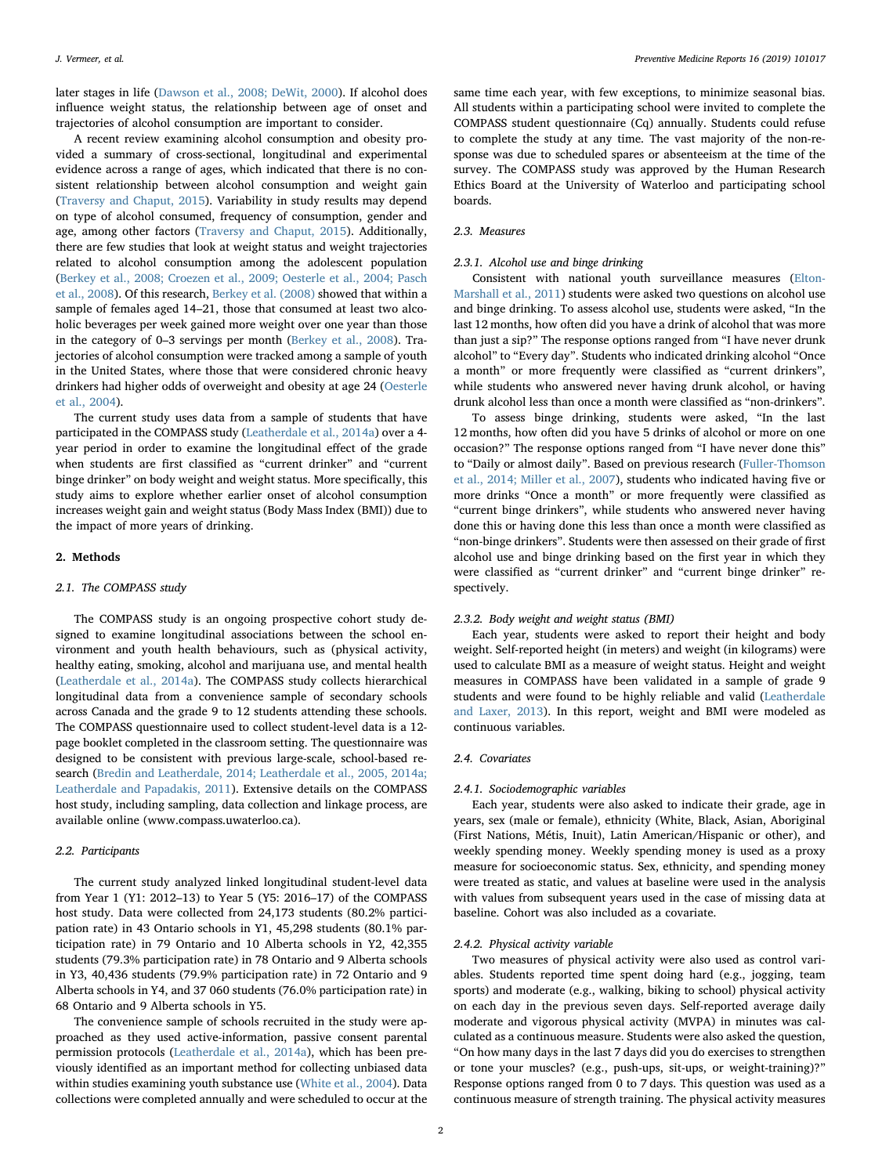later stages in life [\(Dawson et al., 2008; DeWit, 2000](#page-6-5)). If alcohol does influence weight status, the relationship between age of onset and trajectories of alcohol consumption are important to consider.

A recent review examining alcohol consumption and obesity provided a summary of cross-sectional, longitudinal and experimental evidence across a range of ages, which indicated that there is no consistent relationship between alcohol consumption and weight gain ([Traversy and Chaput, 2015\)](#page-7-3). Variability in study results may depend on type of alcohol consumed, frequency of consumption, gender and age, among other factors ([Traversy and Chaput, 2015](#page-7-3)). Additionally, there are few studies that look at weight status and weight trajectories related to alcohol consumption among the adolescent population ([Berkey et al., 2008; Croezen et al., 2009; Oesterle et al., 2004; Pasch](#page-6-6) [et al., 2008](#page-6-6)). Of this research, [Berkey et al. \(2008\)](#page-6-6) showed that within a sample of females aged 14–21, those that consumed at least two alcoholic beverages per week gained more weight over one year than those in the category of 0–3 servings per month ([Berkey et al., 2008\)](#page-6-6). Trajectories of alcohol consumption were tracked among a sample of youth in the United States, where those that were considered chronic heavy drinkers had higher odds of overweight and obesity at age 24 ([Oesterle](#page-7-4) [et al., 2004](#page-7-4)).

The current study uses data from a sample of students that have participated in the COMPASS study [\(Leatherdale et al., 2014a](#page-7-5)) over a 4 year period in order to examine the longitudinal effect of the grade when students are first classified as "current drinker" and "current binge drinker" on body weight and weight status. More specifically, this study aims to explore whether earlier onset of alcohol consumption increases weight gain and weight status (Body Mass Index (BMI)) due to the impact of more years of drinking.

### 2. Methods

## 2.1. The COMPASS study

The COMPASS study is an ongoing prospective cohort study designed to examine longitudinal associations between the school environment and youth health behaviours, such as (physical activity, healthy eating, smoking, alcohol and marijuana use, and mental health ([Leatherdale et al., 2014a\)](#page-7-5). The COMPASS study collects hierarchical longitudinal data from a convenience sample of secondary schools across Canada and the grade 9 to 12 students attending these schools. The COMPASS questionnaire used to collect student-level data is a 12 page booklet completed in the classroom setting. The questionnaire was designed to be consistent with previous large-scale, school-based research ([Bredin and Leatherdale, 2014; Leatherdale et al., 2005, 2014a;](#page-6-7) [Leatherdale and Papadakis, 2011](#page-6-7)). Extensive details on the COMPASS host study, including sampling, data collection and linkage process, are available online (www.compass.uwaterloo.ca).

#### 2.2. Participants

The current study analyzed linked longitudinal student-level data from Year 1 (Y1: 2012–13) to Year 5 (Y5: 2016–17) of the COMPASS host study. Data were collected from 24,173 students (80.2% participation rate) in 43 Ontario schools in Y1, 45,298 students (80.1% participation rate) in 79 Ontario and 10 Alberta schools in Y2, 42,355 students (79.3% participation rate) in 78 Ontario and 9 Alberta schools in Y3, 40,436 students (79.9% participation rate) in 72 Ontario and 9 Alberta schools in Y4, and 37 060 students (76.0% participation rate) in 68 Ontario and 9 Alberta schools in Y5.

The convenience sample of schools recruited in the study were approached as they used active-information, passive consent parental permission protocols [\(Leatherdale et al., 2014a](#page-7-5)), which has been previously identified as an important method for collecting unbiased data within studies examining youth substance use ([White et al., 2004](#page-7-6)). Data collections were completed annually and were scheduled to occur at the

same time each year, with few exceptions, to minimize seasonal bias. All students within a participating school were invited to complete the COMPASS student questionnaire (Cq) annually. Students could refuse to complete the study at any time. The vast majority of the non-response was due to scheduled spares or absenteeism at the time of the survey. The COMPASS study was approved by the Human Research Ethics Board at the University of Waterloo and participating school boards.

## 2.3. Measures

## 2.3.1. Alcohol use and binge drinking

Consistent with national youth surveillance measures ([Elton-](#page-6-8)[Marshall et al., 2011\)](#page-6-8) students were asked two questions on alcohol use and binge drinking. To assess alcohol use, students were asked, "In the last 12 months, how often did you have a drink of alcohol that was more than just a sip?" The response options ranged from "I have never drunk alcohol" to "Every day". Students who indicated drinking alcohol "Once a month" or more frequently were classified as "current drinkers", while students who answered never having drunk alcohol, or having drunk alcohol less than once a month were classified as "non-drinkers".

To assess binge drinking, students were asked, "In the last 12 months, how often did you have 5 drinks of alcohol or more on one occasion?" The response options ranged from "I have never done this" to "Daily or almost daily". Based on previous research ([Fuller-Thomson](#page-6-9) [et al., 2014; Miller et al., 2007\)](#page-6-9), students who indicated having five or more drinks "Once a month" or more frequently were classified as "current binge drinkers", while students who answered never having done this or having done this less than once a month were classified as "non-binge drinkers". Students were then assessed on their grade of first alcohol use and binge drinking based on the first year in which they were classified as "current drinker" and "current binge drinker" respectively.

## 2.3.2. Body weight and weight status (BMI)

Each year, students were asked to report their height and body weight. Self-reported height (in meters) and weight (in kilograms) were used to calculate BMI as a measure of weight status. Height and weight measures in COMPASS have been validated in a sample of grade 9 students and were found to be highly reliable and valid [\(Leatherdale](#page-7-7) [and Laxer, 2013](#page-7-7)). In this report, weight and BMI were modeled as continuous variables.

#### 2.4. Covariates

### 2.4.1. Sociodemographic variables

Each year, students were also asked to indicate their grade, age in years, sex (male or female), ethnicity (White, Black, Asian, Aboriginal (First Nations, Métis, Inuit), Latin American/Hispanic or other), and weekly spending money. Weekly spending money is used as a proxy measure for socioeconomic status. Sex, ethnicity, and spending money were treated as static, and values at baseline were used in the analysis with values from subsequent years used in the case of missing data at baseline. Cohort was also included as a covariate.

#### 2.4.2. Physical activity variable

Two measures of physical activity were also used as control variables. Students reported time spent doing hard (e.g., jogging, team sports) and moderate (e.g., walking, biking to school) physical activity on each day in the previous seven days. Self-reported average daily moderate and vigorous physical activity (MVPA) in minutes was calculated as a continuous measure. Students were also asked the question, "On how many days in the last 7 days did you do exercises to strengthen or tone your muscles? (e.g., push-ups, sit-ups, or weight-training)?" Response options ranged from 0 to 7 days. This question was used as a continuous measure of strength training. The physical activity measures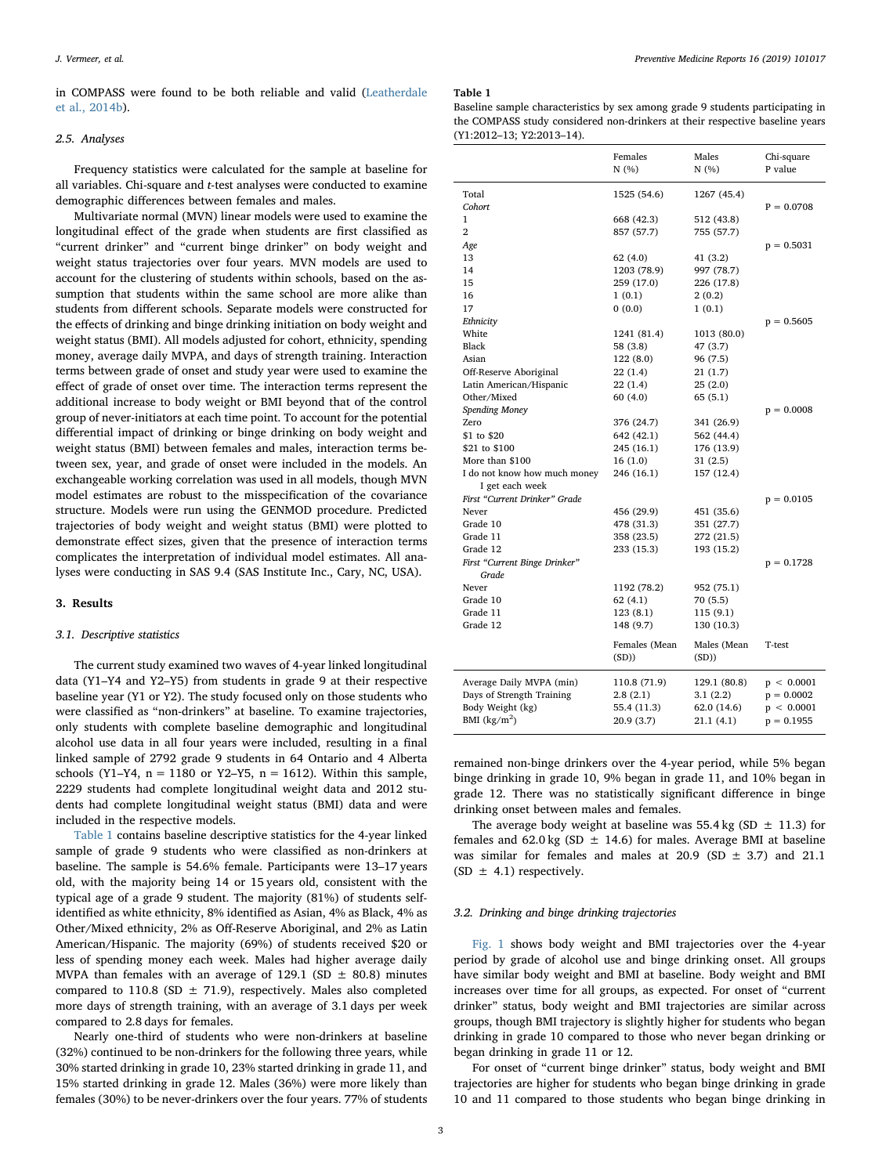in COMPASS were found to be both reliable and valid [\(Leatherdale](#page-7-8) [et al., 2014b\)](#page-7-8).

#### 2.5. Analyses

Frequency statistics were calculated for the sample at baseline for all variables. Chi-square and t-test analyses were conducted to examine demographic differences between females and males.

Multivariate normal (MVN) linear models were used to examine the longitudinal effect of the grade when students are first classified as "current drinker" and "current binge drinker" on body weight and weight status trajectories over four years. MVN models are used to account for the clustering of students within schools, based on the assumption that students within the same school are more alike than students from different schools. Separate models were constructed for the effects of drinking and binge drinking initiation on body weight and weight status (BMI). All models adjusted for cohort, ethnicity, spending money, average daily MVPA, and days of strength training. Interaction terms between grade of onset and study year were used to examine the effect of grade of onset over time. The interaction terms represent the additional increase to body weight or BMI beyond that of the control group of never-initiators at each time point. To account for the potential differential impact of drinking or binge drinking on body weight and weight status (BMI) between females and males, interaction terms between sex, year, and grade of onset were included in the models. An exchangeable working correlation was used in all models, though MVN model estimates are robust to the misspecification of the covariance structure. Models were run using the GENMOD procedure. Predicted trajectories of body weight and weight status (BMI) were plotted to demonstrate effect sizes, given that the presence of interaction terms complicates the interpretation of individual model estimates. All analyses were conducting in SAS 9.4 (SAS Institute Inc., Cary, NC, USA).

#### 3. Results

## 3.1. Descriptive statistics

The current study examined two waves of 4-year linked longitudinal data (Y1–Y4 and Y2–Y5) from students in grade 9 at their respective baseline year (Y1 or Y2). The study focused only on those students who were classified as "non-drinkers" at baseline. To examine trajectories, only students with complete baseline demographic and longitudinal alcohol use data in all four years were included, resulting in a final linked sample of 2792 grade 9 students in 64 Ontario and 4 Alberta schools (Y1-Y4,  $n = 1180$  or Y2-Y5,  $n = 1612$ ). Within this sample, 2229 students had complete longitudinal weight data and 2012 students had complete longitudinal weight status (BMI) data and were included in the respective models.

[Table 1](#page-2-0) contains baseline descriptive statistics for the 4-year linked sample of grade 9 students who were classified as non-drinkers at baseline. The sample is 54.6% female. Participants were 13–17 years old, with the majority being 14 or 15 years old, consistent with the typical age of a grade 9 student. The majority (81%) of students selfidentified as white ethnicity, 8% identified as Asian, 4% as Black, 4% as Other/Mixed ethnicity, 2% as Off-Reserve Aboriginal, and 2% as Latin American/Hispanic. The majority (69%) of students received \$20 or less of spending money each week. Males had higher average daily MVPA than females with an average of 129.1 (SD  $\pm$  80.8) minutes compared to 110.8 (SD  $\pm$  71.9), respectively. Males also completed more days of strength training, with an average of 3.1 days per week compared to 2.8 days for females.

Nearly one-third of students who were non-drinkers at baseline (32%) continued to be non-drinkers for the following three years, while 30% started drinking in grade 10, 23% started drinking in grade 11, and 15% started drinking in grade 12. Males (36%) were more likely than females (30%) to be never-drinkers over the four years. 77% of students

#### <span id="page-2-0"></span>Table 1

Baseline sample characteristics by sex among grade 9 students participating in the COMPASS study considered non-drinkers at their respective baseline years (Y1:2012–13; Y2:2013–14).

|                                                                                            | Females<br>N(%)                                       | Males<br>N(%)                                         | Chi-square<br>P value                                    |
|--------------------------------------------------------------------------------------------|-------------------------------------------------------|-------------------------------------------------------|----------------------------------------------------------|
| Total                                                                                      | 1525 (54.6)                                           | 1267 (45.4)                                           |                                                          |
| Cohort                                                                                     |                                                       |                                                       | $P = 0.0708$                                             |
| 1                                                                                          | 668 (42.3)                                            | 512 (43.8)                                            |                                                          |
| $\overline{2}$                                                                             | 857 (57.7)                                            | 755 (57.7)                                            |                                                          |
| Age                                                                                        |                                                       |                                                       | $p = 0.5031$                                             |
| 13                                                                                         | 62(4.0)                                               | 41 (3.2)                                              |                                                          |
| 14                                                                                         | 1203 (78.9)                                           | 997 (78.7)                                            |                                                          |
| 15                                                                                         | 259 (17.0)                                            | 226 (17.8)                                            |                                                          |
| 16                                                                                         | 1(0.1)                                                | 2(0.2)                                                |                                                          |
| 17                                                                                         | 0(0.0)                                                | 1(0.1)                                                |                                                          |
| Ethnicity                                                                                  |                                                       |                                                       | $p = 0.5605$                                             |
| White                                                                                      | 1241 (81.4)                                           | 1013 (80.0)                                           |                                                          |
| Black                                                                                      | 58 (3.8)                                              | 47 (3.7)                                              |                                                          |
| Asian                                                                                      | 122(8.0)                                              | 96 (7.5)                                              |                                                          |
| Off-Reserve Aboriginal                                                                     | 22 (1.4)                                              | 21 (1.7)                                              |                                                          |
| Latin American/Hispanic                                                                    | 22 (1.4)                                              | 25(2.0)                                               |                                                          |
| Other/Mixed                                                                                | 60 (4.0)                                              | 65(5.1)                                               |                                                          |
| Spending Money                                                                             |                                                       |                                                       | $p = 0.0008$                                             |
| Zero                                                                                       | 376 (24.7)                                            | 341 (26.9)                                            |                                                          |
| \$1 to \$20                                                                                | 642 (42.1)                                            | 562 (44.4)                                            |                                                          |
| \$21 to \$100                                                                              | 245 (16.1)                                            | 176 (13.9)                                            |                                                          |
| More than \$100                                                                            | 16 (1.0)                                              | 31 (2.5)                                              |                                                          |
| I do not know how much money                                                               | 246 (16.1)                                            | 157 (12.4)                                            |                                                          |
| I get each week                                                                            |                                                       |                                                       |                                                          |
| First "Current Drinker" Grade                                                              |                                                       |                                                       | $p = 0.0105$                                             |
| Never                                                                                      | 456 (29.9)                                            | 451 (35.6)                                            |                                                          |
| Grade 10                                                                                   | 478 (31.3)                                            | 351 (27.7)                                            |                                                          |
| Grade 11                                                                                   | 358 (23.5)                                            | 272 (21.5)                                            |                                                          |
| Grade 12                                                                                   | 233 (15.3)                                            | 193 (15.2)                                            |                                                          |
| First "Current Binge Drinker"                                                              |                                                       |                                                       | $p = 0.1728$                                             |
| Grade<br>Never                                                                             |                                                       |                                                       |                                                          |
|                                                                                            | 1192 (78.2)                                           | 952 (75.1)                                            |                                                          |
| Grade 10<br>Grade 11                                                                       | 62(4.1)                                               | 70 (5.5)                                              |                                                          |
|                                                                                            | 123 (8.1)                                             | 115 (9.1)                                             |                                                          |
| Grade 12                                                                                   | 148 (9.7)                                             | 130 (10.3)                                            |                                                          |
|                                                                                            | Females (Mean<br>(SD)                                 | Males (Mean<br>(SD))                                  | T-test                                                   |
| Average Daily MVPA (min)<br>Days of Strength Training<br>Body Weight (kg)<br>BMI $(kg/m2)$ | 110.8 (71.9)<br>2.8(2.1)<br>55.4 (11.3)<br>20.9 (3.7) | 129.1 (80.8)<br>3.1(2.2)<br>62.0 (14.6)<br>21.1 (4.1) | p < 0.0001<br>$p = 0.0002$<br>p < 0.0001<br>$p = 0.1955$ |

remained non-binge drinkers over the 4-year period, while 5% began binge drinking in grade 10, 9% began in grade 11, and 10% began in grade 12. There was no statistically significant difference in binge drinking onset between males and females.

The average body weight at baseline was 55.4 kg (SD  $\pm$  11.3) for females and 62.0 kg (SD  $\pm$  14.6) for males. Average BMI at baseline was similar for females and males at 20.9 (SD  $\pm$  3.7) and 21.1 (SD  $\pm$  4.1) respectively.

## 3.2. Drinking and binge drinking trajectories

[Fig. 1](#page-3-0) shows body weight and BMI trajectories over the 4-year period by grade of alcohol use and binge drinking onset. All groups have similar body weight and BMI at baseline. Body weight and BMI increases over time for all groups, as expected. For onset of "current drinker" status, body weight and BMI trajectories are similar across groups, though BMI trajectory is slightly higher for students who began drinking in grade 10 compared to those who never began drinking or began drinking in grade 11 or 12.

For onset of "current binge drinker" status, body weight and BMI trajectories are higher for students who began binge drinking in grade 10 and 11 compared to those students who began binge drinking in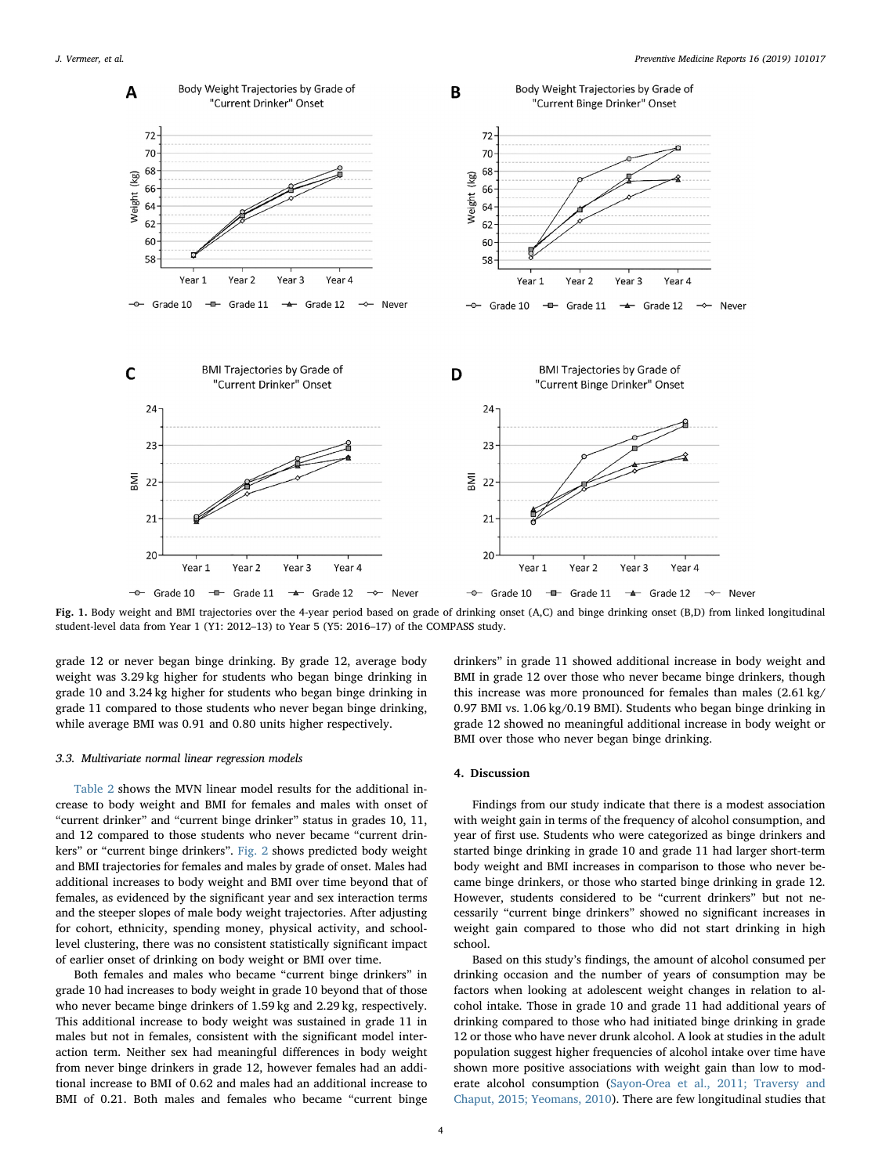<span id="page-3-0"></span>

Fig. 1. Body weight and BMI trajectories over the 4-year period based on grade of drinking onset (A,C) and binge drinking onset (B,D) from linked longitudinal student-level data from Year 1 (Y1: 2012–13) to Year 5 (Y5: 2016–17) of the COMPASS study.

grade 12 or never began binge drinking. By grade 12, average body weight was 3.29 kg higher for students who began binge drinking in grade 10 and 3.24 kg higher for students who began binge drinking in grade 11 compared to those students who never began binge drinking, while average BMI was 0.91 and 0.80 units higher respectively.

#### 3.3. Multivariate normal linear regression models

[Table 2](#page-4-0) shows the MVN linear model results for the additional increase to body weight and BMI for females and males with onset of "current drinker" and "current binge drinker" status in grades 10, 11, and 12 compared to those students who never became "current drinkers" or "current binge drinkers". [Fig. 2](#page-5-0) shows predicted body weight and BMI trajectories for females and males by grade of onset. Males had additional increases to body weight and BMI over time beyond that of females, as evidenced by the significant year and sex interaction terms and the steeper slopes of male body weight trajectories. After adjusting for cohort, ethnicity, spending money, physical activity, and schoollevel clustering, there was no consistent statistically significant impact of earlier onset of drinking on body weight or BMI over time.

Both females and males who became "current binge drinkers" in grade 10 had increases to body weight in grade 10 beyond that of those who never became binge drinkers of 1.59 kg and 2.29 kg, respectively. This additional increase to body weight was sustained in grade 11 in males but not in females, consistent with the significant model interaction term. Neither sex had meaningful differences in body weight from never binge drinkers in grade 12, however females had an additional increase to BMI of 0.62 and males had an additional increase to BMI of 0.21. Both males and females who became "current binge drinkers" in grade 11 showed additional increase in body weight and BMI in grade 12 over those who never became binge drinkers, though this increase was more pronounced for females than males (2.61 kg/ 0.97 BMI vs. 1.06 kg/0.19 BMI). Students who began binge drinking in grade 12 showed no meaningful additional increase in body weight or BMI over those who never began binge drinking.

## 4. Discussion

Findings from our study indicate that there is a modest association with weight gain in terms of the frequency of alcohol consumption, and year of first use. Students who were categorized as binge drinkers and started binge drinking in grade 10 and grade 11 had larger short-term body weight and BMI increases in comparison to those who never became binge drinkers, or those who started binge drinking in grade 12. However, students considered to be "current drinkers" but not necessarily "current binge drinkers" showed no significant increases in weight gain compared to those who did not start drinking in high school.

Based on this study's findings, the amount of alcohol consumed per drinking occasion and the number of years of consumption may be factors when looking at adolescent weight changes in relation to alcohol intake. Those in grade 10 and grade 11 had additional years of drinking compared to those who had initiated binge drinking in grade 12 or those who have never drunk alcohol. A look at studies in the adult population suggest higher frequencies of alcohol intake over time have shown more positive associations with weight gain than low to moderate alcohol consumption [\(Sayon-Orea et al., 2011; Traversy and](#page-7-9) Chaput, [2015; Yeomans, 2010](#page-7-9)). There are few longitudinal studies that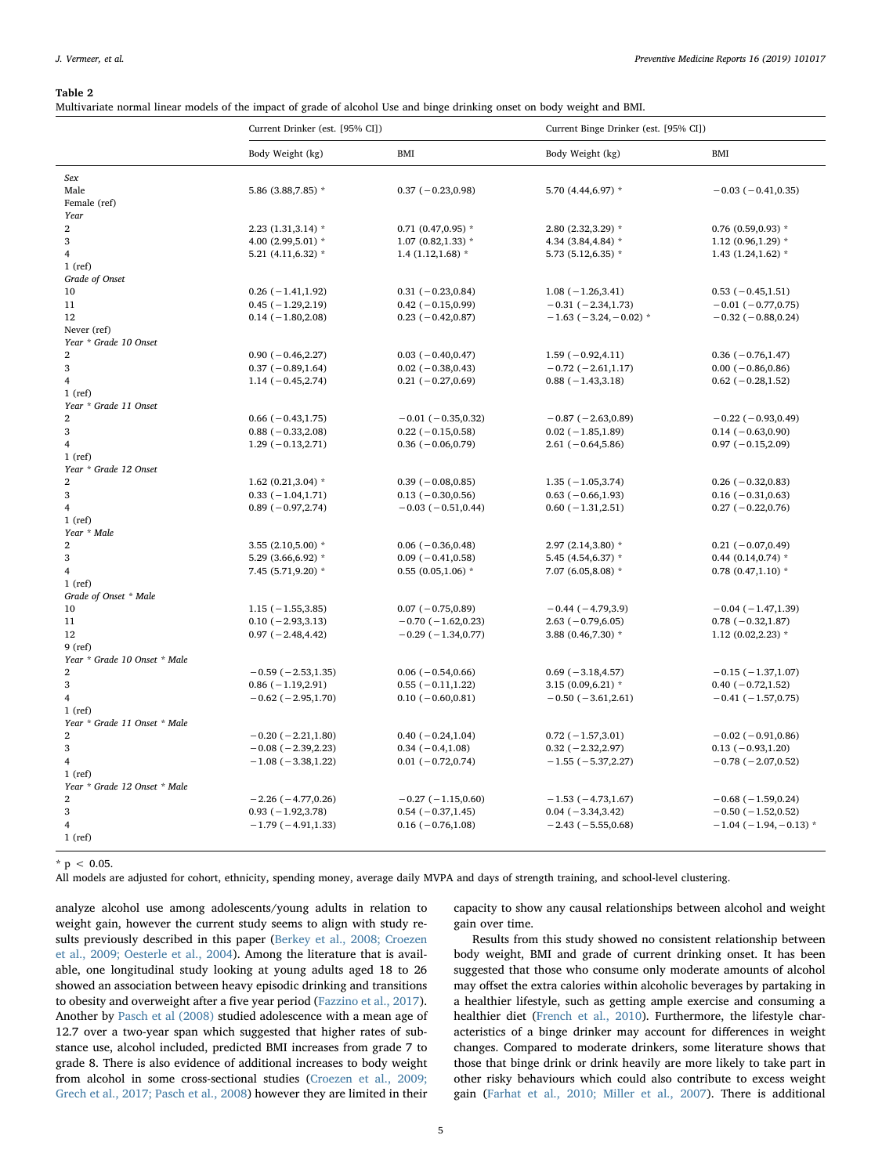#### <span id="page-4-0"></span>Table 2

Multivariate normal linear models of the impact of grade of alcohol Use and binge drinking onset on body weight and BMI.

| Body Weight (kg)<br><b>BMI</b><br>Body Weight (kg)<br><b>BMI</b><br>Sex<br>Male<br>5.86 (3.88, 7.85) *<br>$0.37 (-0.23, 0.98)$<br>5.70 (4.44,6.97) *<br>$-0.03(-0.41, 0.35)$<br>Female (ref)<br>Year<br>$\overline{2}$<br>$0.71$ (0.47,0.95) *<br>$2.23(1.31,3.14)$ *<br>2.80 (2.32,3.29) *<br>$0.76$ (0.59,0.93) *<br>3<br>4.00 (2.99,5.01) *<br>$1.07(0.82, 1.33)*$<br>4.34 (3.84,4.84) *<br>$1.12(0.96, 1.29)$ *<br>$\overline{4}$<br>5.21 (4.11,6.32) $*$<br>$1.4(1.12,1.68)$ *<br>5.73 (5.12,6.35) *<br>1.43 $(1.24, 1.62)$ *<br>$1$ (ref)<br>Grade of Onset<br>$0.26$ ( $-1.41, 1.92$ )<br>$0.31 (-0.23, 0.84)$<br>10<br>$1.08(-1.26, 3.41)$<br>$0.53(-0.45,1.51)$<br>$-0.31(-2.34,1.73)$<br>11<br>$0.45 (-1.29, 2.19)$<br>$0.42 (-0.15, 0.99)$<br>$-0.01$ ( $-0.77,0.75$ )<br>12<br>$0.23 (-0.42, 0.87)$<br>$-1.63$ ( $-3.24$ , $-0.02$ ) *<br>$-0.32$ ( $-0.88, 0.24$ )<br>$0.14 (-1.80, 2.08)$<br>Never (ref)<br>Year * Grade 10 Onset<br>$\overline{2}$<br>$0.90 (-0.46, 2.27)$<br>$0.36 (-0.76, 1.47)$<br>$0.03 (-0.40, 0.47)$<br>$1.59(-0.92, 4.11)$<br>3<br>$0.37(-0.89,1.64)$<br>$0.02 (-0.38, 0.43)$<br>$-0.72$ ( $-2.61,1.17$ )<br>$0.00 (-0.86, 0.86)$<br>$\overline{\mathbf{4}}$<br>$1.14 (-0.45, 2.74)$<br>$0.21 (-0.27, 0.69)$<br>$0.88 (-1.43, 3.18)$<br>$0.62 (-0.28, 1.52)$<br>$1$ (ref)<br>Year * Grade 11 Onset<br>$0.66$ ( $-0.43,1.75$ )<br>$-0.87(-2.63, 0.89)$<br>$\overline{2}$<br>$-0.01$ ( $-0.35,0.32$ )<br>$-0.22$ ( $-0.93,0.49$ )<br>3<br>$0.88 (-0.33, 2.08)$<br>$0.22$ ( $-0.15,0.58$ )<br>$0.02$ ( $-1.85,1.89$ )<br>$0.14 (-0.63, 0.90)$<br>$\overline{\mathbf{4}}$<br>$0.36(-0.06, 0.79)$<br>$1.29(-0.13, 2.71)$<br>$2.61 (-0.64, 5.86)$<br>$0.97 (-0.15, 2.09)$<br>$1$ (ref)<br>Year * Grade 12 Onset<br>$\overline{2}$<br>$1.62$ (0.21,3.04) *<br>$0.39(-0.08, 0.85)$<br>$1.35 (-1.05, 3.74)$<br>$0.26(-0.32,0.83)$<br>3<br>$0.33(-1.04, 1.71)$<br>$0.13 (-0.30, 0.56)$<br>$0.63 (-0.66, 1.93)$<br>$0.16 (-0.31, 0.63)$<br>$\overline{\mathbf{4}}$<br>$0.89(-0.97, 2.74)$<br>$-0.03$ ( $-0.51,0.44$ )<br>$0.60 (-1.31, 2.51)$<br>$0.27 (-0.22, 0.76)$<br>$1$ (ref)<br>Year * Male<br>$\overline{2}$<br>3.55 $(2.10, 5.00)$ *<br>$0.06 (-0.36, 0.48)$<br>2.97 (2.14,3.80) *<br>$0.21 (-0.07, 0.49)$<br>3<br>5.29 (3.66,6.92) *<br>$0.09(-0.41, 0.58)$<br>5.45 (4.54,6.37) *<br>$0.44$ (0.14,0.74) *<br>$\overline{\mathbf{4}}$<br>7.45 (5.71,9.20) *<br>$0.55$ (0.05,1.06) *<br>7.07 (6.05,8.08) $*$<br>$0.78$ $(0.47,1.10)$ *<br>$1$ (ref)<br>Grade of Onset * Male<br>10<br>$1.15(-1.55, 3.85)$<br>$0.07 (-0.75, 0.89)$<br>$-0.44(-4.79,3.9)$<br>$-0.04(-1.47,1.39)$<br>$-0.70(-1.62,0.23)$<br>$2.63 (-0.79, 6.05)$<br>11<br>$0.10 (-2.93, 3.13)$<br>$0.78 (-0.32, 1.87)$<br>12<br>$0.97 (-2.48, 4.42)$<br>$-0.29(-1.34, 0.77)$<br>3.88 (0.46,7.30) *<br>$1.12$ (0.02,2.23) *<br>$9$ (ref)<br>Year * Grade 10 Onset * Male<br>$\overline{2}$<br>$0.06(-0.54, 0.66)$<br>$0.69$ ( $-3.18,4.57$ )<br>$-0.59(-2.53, 1.35)$<br>$-0.15(-1.37,1.07)$<br>3<br>$0.86$ ( $-1.19,2.91$ )<br>$0.55(-0.11, 1.22)$<br>3.15 $(0.09, 6.21)$ *<br>$0.40 (-0.72, 1.52)$<br>$\overline{\mathbf{4}}$<br>$-0.62$ ( $-2.95,1.70$ )<br>$0.10 (-0.60, 0.81)$<br>$-0.50(-3.61, 2.61)$<br>$-0.41(-1.57,0.75)$<br>$1$ (ref)<br>Year * Grade 11 Onset * Male<br>$\overline{2}$<br>$0.40 (-0.24, 1.04)$<br>$-0.20(-2.21,1.80)$<br>$0.72(-1.57,3.01)$<br>$-0.02$ ( $-0.91,0.86$ )<br>3<br>$-0.08$ ( $-2.39,2.23$ )<br>$0.34 (-0.4, 1.08)$<br>$0.32 (-2.32, 2.97)$<br>$0.13(-0.93, 1.20)$<br>$\overline{\mathbf{4}}$<br>$-1.08$ ( $-3.38,1.22$ )<br>$0.01 (-0.72, 0.74)$<br>$-1.55(-5.37,2.27)$<br>$-0.78$ ( $-2.07,0.52$ )<br>$1$ (ref)<br>Year * Grade 12 Onset * Male<br>2<br>$-2.26(-4.77,0.26)$<br>$-0.27$ ( $-1.15,0.60$ )<br>$-1.53(-4.73,1.67)$<br>$-0.68$ ( $-1.59,0.24$ )<br>3<br>$0.93(-1.92, 3.78)$<br>$0.54 (-0.37, 1.45)$<br>$0.04 (-3.34, 3.42)$<br>$-0.50(-1.52,0.52)$<br>$\overline{4}$<br>$-1.79(-4.91, 1.33)$<br>$0.16 (-0.76, 1.08)$<br>$-2.43(-5.55,0.68)$<br>$-1.04$ ( $-1.94$ , $-0.13$ ) *<br>$1$ (ref) | Current Drinker (est. [95% CI]) |  | Current Binge Drinker (est. [95% CI]) |  |
|----------------------------------------------------------------------------------------------------------------------------------------------------------------------------------------------------------------------------------------------------------------------------------------------------------------------------------------------------------------------------------------------------------------------------------------------------------------------------------------------------------------------------------------------------------------------------------------------------------------------------------------------------------------------------------------------------------------------------------------------------------------------------------------------------------------------------------------------------------------------------------------------------------------------------------------------------------------------------------------------------------------------------------------------------------------------------------------------------------------------------------------------------------------------------------------------------------------------------------------------------------------------------------------------------------------------------------------------------------------------------------------------------------------------------------------------------------------------------------------------------------------------------------------------------------------------------------------------------------------------------------------------------------------------------------------------------------------------------------------------------------------------------------------------------------------------------------------------------------------------------------------------------------------------------------------------------------------------------------------------------------------------------------------------------------------------------------------------------------------------------------------------------------------------------------------------------------------------------------------------------------------------------------------------------------------------------------------------------------------------------------------------------------------------------------------------------------------------------------------------------------------------------------------------------------------------------------------------------------------------------------------------------------------------------------------------------------------------------------------------------------------------------------------------------------------------------------------------------------------------------------------------------------------------------------------------------------------------------------------------------------------------------------------------------------------------------------------------------------------------------------------------------------------------------------------------------------------------------------------------------------------------------------------------------------------------------------------------------------------------------------------------------------------------------------------------------------------------------------------------------------------------------------------------------------------------------------------------------------------------------------------------------------------------------------------------------------------------------------------------------------------------------------------------------------------------------------------------------------------------------------------------------------------------------------------------------------------------------------------------------------------------------------------------|---------------------------------|--|---------------------------------------|--|
|                                                                                                                                                                                                                                                                                                                                                                                                                                                                                                                                                                                                                                                                                                                                                                                                                                                                                                                                                                                                                                                                                                                                                                                                                                                                                                                                                                                                                                                                                                                                                                                                                                                                                                                                                                                                                                                                                                                                                                                                                                                                                                                                                                                                                                                                                                                                                                                                                                                                                                                                                                                                                                                                                                                                                                                                                                                                                                                                                                                                                                                                                                                                                                                                                                                                                                                                                                                                                                                                                                                                                                                                                                                                                                                                                                                                                                                                                                                                                                                                                                              |                                 |  |                                       |  |
|                                                                                                                                                                                                                                                                                                                                                                                                                                                                                                                                                                                                                                                                                                                                                                                                                                                                                                                                                                                                                                                                                                                                                                                                                                                                                                                                                                                                                                                                                                                                                                                                                                                                                                                                                                                                                                                                                                                                                                                                                                                                                                                                                                                                                                                                                                                                                                                                                                                                                                                                                                                                                                                                                                                                                                                                                                                                                                                                                                                                                                                                                                                                                                                                                                                                                                                                                                                                                                                                                                                                                                                                                                                                                                                                                                                                                                                                                                                                                                                                                                              |                                 |  |                                       |  |
|                                                                                                                                                                                                                                                                                                                                                                                                                                                                                                                                                                                                                                                                                                                                                                                                                                                                                                                                                                                                                                                                                                                                                                                                                                                                                                                                                                                                                                                                                                                                                                                                                                                                                                                                                                                                                                                                                                                                                                                                                                                                                                                                                                                                                                                                                                                                                                                                                                                                                                                                                                                                                                                                                                                                                                                                                                                                                                                                                                                                                                                                                                                                                                                                                                                                                                                                                                                                                                                                                                                                                                                                                                                                                                                                                                                                                                                                                                                                                                                                                                              |                                 |  |                                       |  |
|                                                                                                                                                                                                                                                                                                                                                                                                                                                                                                                                                                                                                                                                                                                                                                                                                                                                                                                                                                                                                                                                                                                                                                                                                                                                                                                                                                                                                                                                                                                                                                                                                                                                                                                                                                                                                                                                                                                                                                                                                                                                                                                                                                                                                                                                                                                                                                                                                                                                                                                                                                                                                                                                                                                                                                                                                                                                                                                                                                                                                                                                                                                                                                                                                                                                                                                                                                                                                                                                                                                                                                                                                                                                                                                                                                                                                                                                                                                                                                                                                                              |                                 |  |                                       |  |
|                                                                                                                                                                                                                                                                                                                                                                                                                                                                                                                                                                                                                                                                                                                                                                                                                                                                                                                                                                                                                                                                                                                                                                                                                                                                                                                                                                                                                                                                                                                                                                                                                                                                                                                                                                                                                                                                                                                                                                                                                                                                                                                                                                                                                                                                                                                                                                                                                                                                                                                                                                                                                                                                                                                                                                                                                                                                                                                                                                                                                                                                                                                                                                                                                                                                                                                                                                                                                                                                                                                                                                                                                                                                                                                                                                                                                                                                                                                                                                                                                                              |                                 |  |                                       |  |
|                                                                                                                                                                                                                                                                                                                                                                                                                                                                                                                                                                                                                                                                                                                                                                                                                                                                                                                                                                                                                                                                                                                                                                                                                                                                                                                                                                                                                                                                                                                                                                                                                                                                                                                                                                                                                                                                                                                                                                                                                                                                                                                                                                                                                                                                                                                                                                                                                                                                                                                                                                                                                                                                                                                                                                                                                                                                                                                                                                                                                                                                                                                                                                                                                                                                                                                                                                                                                                                                                                                                                                                                                                                                                                                                                                                                                                                                                                                                                                                                                                              |                                 |  |                                       |  |
|                                                                                                                                                                                                                                                                                                                                                                                                                                                                                                                                                                                                                                                                                                                                                                                                                                                                                                                                                                                                                                                                                                                                                                                                                                                                                                                                                                                                                                                                                                                                                                                                                                                                                                                                                                                                                                                                                                                                                                                                                                                                                                                                                                                                                                                                                                                                                                                                                                                                                                                                                                                                                                                                                                                                                                                                                                                                                                                                                                                                                                                                                                                                                                                                                                                                                                                                                                                                                                                                                                                                                                                                                                                                                                                                                                                                                                                                                                                                                                                                                                              |                                 |  |                                       |  |
|                                                                                                                                                                                                                                                                                                                                                                                                                                                                                                                                                                                                                                                                                                                                                                                                                                                                                                                                                                                                                                                                                                                                                                                                                                                                                                                                                                                                                                                                                                                                                                                                                                                                                                                                                                                                                                                                                                                                                                                                                                                                                                                                                                                                                                                                                                                                                                                                                                                                                                                                                                                                                                                                                                                                                                                                                                                                                                                                                                                                                                                                                                                                                                                                                                                                                                                                                                                                                                                                                                                                                                                                                                                                                                                                                                                                                                                                                                                                                                                                                                              |                                 |  |                                       |  |
|                                                                                                                                                                                                                                                                                                                                                                                                                                                                                                                                                                                                                                                                                                                                                                                                                                                                                                                                                                                                                                                                                                                                                                                                                                                                                                                                                                                                                                                                                                                                                                                                                                                                                                                                                                                                                                                                                                                                                                                                                                                                                                                                                                                                                                                                                                                                                                                                                                                                                                                                                                                                                                                                                                                                                                                                                                                                                                                                                                                                                                                                                                                                                                                                                                                                                                                                                                                                                                                                                                                                                                                                                                                                                                                                                                                                                                                                                                                                                                                                                                              |                                 |  |                                       |  |
|                                                                                                                                                                                                                                                                                                                                                                                                                                                                                                                                                                                                                                                                                                                                                                                                                                                                                                                                                                                                                                                                                                                                                                                                                                                                                                                                                                                                                                                                                                                                                                                                                                                                                                                                                                                                                                                                                                                                                                                                                                                                                                                                                                                                                                                                                                                                                                                                                                                                                                                                                                                                                                                                                                                                                                                                                                                                                                                                                                                                                                                                                                                                                                                                                                                                                                                                                                                                                                                                                                                                                                                                                                                                                                                                                                                                                                                                                                                                                                                                                                              |                                 |  |                                       |  |
|                                                                                                                                                                                                                                                                                                                                                                                                                                                                                                                                                                                                                                                                                                                                                                                                                                                                                                                                                                                                                                                                                                                                                                                                                                                                                                                                                                                                                                                                                                                                                                                                                                                                                                                                                                                                                                                                                                                                                                                                                                                                                                                                                                                                                                                                                                                                                                                                                                                                                                                                                                                                                                                                                                                                                                                                                                                                                                                                                                                                                                                                                                                                                                                                                                                                                                                                                                                                                                                                                                                                                                                                                                                                                                                                                                                                                                                                                                                                                                                                                                              |                                 |  |                                       |  |
|                                                                                                                                                                                                                                                                                                                                                                                                                                                                                                                                                                                                                                                                                                                                                                                                                                                                                                                                                                                                                                                                                                                                                                                                                                                                                                                                                                                                                                                                                                                                                                                                                                                                                                                                                                                                                                                                                                                                                                                                                                                                                                                                                                                                                                                                                                                                                                                                                                                                                                                                                                                                                                                                                                                                                                                                                                                                                                                                                                                                                                                                                                                                                                                                                                                                                                                                                                                                                                                                                                                                                                                                                                                                                                                                                                                                                                                                                                                                                                                                                                              |                                 |  |                                       |  |
|                                                                                                                                                                                                                                                                                                                                                                                                                                                                                                                                                                                                                                                                                                                                                                                                                                                                                                                                                                                                                                                                                                                                                                                                                                                                                                                                                                                                                                                                                                                                                                                                                                                                                                                                                                                                                                                                                                                                                                                                                                                                                                                                                                                                                                                                                                                                                                                                                                                                                                                                                                                                                                                                                                                                                                                                                                                                                                                                                                                                                                                                                                                                                                                                                                                                                                                                                                                                                                                                                                                                                                                                                                                                                                                                                                                                                                                                                                                                                                                                                                              |                                 |  |                                       |  |
|                                                                                                                                                                                                                                                                                                                                                                                                                                                                                                                                                                                                                                                                                                                                                                                                                                                                                                                                                                                                                                                                                                                                                                                                                                                                                                                                                                                                                                                                                                                                                                                                                                                                                                                                                                                                                                                                                                                                                                                                                                                                                                                                                                                                                                                                                                                                                                                                                                                                                                                                                                                                                                                                                                                                                                                                                                                                                                                                                                                                                                                                                                                                                                                                                                                                                                                                                                                                                                                                                                                                                                                                                                                                                                                                                                                                                                                                                                                                                                                                                                              |                                 |  |                                       |  |
|                                                                                                                                                                                                                                                                                                                                                                                                                                                                                                                                                                                                                                                                                                                                                                                                                                                                                                                                                                                                                                                                                                                                                                                                                                                                                                                                                                                                                                                                                                                                                                                                                                                                                                                                                                                                                                                                                                                                                                                                                                                                                                                                                                                                                                                                                                                                                                                                                                                                                                                                                                                                                                                                                                                                                                                                                                                                                                                                                                                                                                                                                                                                                                                                                                                                                                                                                                                                                                                                                                                                                                                                                                                                                                                                                                                                                                                                                                                                                                                                                                              |                                 |  |                                       |  |
|                                                                                                                                                                                                                                                                                                                                                                                                                                                                                                                                                                                                                                                                                                                                                                                                                                                                                                                                                                                                                                                                                                                                                                                                                                                                                                                                                                                                                                                                                                                                                                                                                                                                                                                                                                                                                                                                                                                                                                                                                                                                                                                                                                                                                                                                                                                                                                                                                                                                                                                                                                                                                                                                                                                                                                                                                                                                                                                                                                                                                                                                                                                                                                                                                                                                                                                                                                                                                                                                                                                                                                                                                                                                                                                                                                                                                                                                                                                                                                                                                                              |                                 |  |                                       |  |
|                                                                                                                                                                                                                                                                                                                                                                                                                                                                                                                                                                                                                                                                                                                                                                                                                                                                                                                                                                                                                                                                                                                                                                                                                                                                                                                                                                                                                                                                                                                                                                                                                                                                                                                                                                                                                                                                                                                                                                                                                                                                                                                                                                                                                                                                                                                                                                                                                                                                                                                                                                                                                                                                                                                                                                                                                                                                                                                                                                                                                                                                                                                                                                                                                                                                                                                                                                                                                                                                                                                                                                                                                                                                                                                                                                                                                                                                                                                                                                                                                                              |                                 |  |                                       |  |
|                                                                                                                                                                                                                                                                                                                                                                                                                                                                                                                                                                                                                                                                                                                                                                                                                                                                                                                                                                                                                                                                                                                                                                                                                                                                                                                                                                                                                                                                                                                                                                                                                                                                                                                                                                                                                                                                                                                                                                                                                                                                                                                                                                                                                                                                                                                                                                                                                                                                                                                                                                                                                                                                                                                                                                                                                                                                                                                                                                                                                                                                                                                                                                                                                                                                                                                                                                                                                                                                                                                                                                                                                                                                                                                                                                                                                                                                                                                                                                                                                                              |                                 |  |                                       |  |
|                                                                                                                                                                                                                                                                                                                                                                                                                                                                                                                                                                                                                                                                                                                                                                                                                                                                                                                                                                                                                                                                                                                                                                                                                                                                                                                                                                                                                                                                                                                                                                                                                                                                                                                                                                                                                                                                                                                                                                                                                                                                                                                                                                                                                                                                                                                                                                                                                                                                                                                                                                                                                                                                                                                                                                                                                                                                                                                                                                                                                                                                                                                                                                                                                                                                                                                                                                                                                                                                                                                                                                                                                                                                                                                                                                                                                                                                                                                                                                                                                                              |                                 |  |                                       |  |
|                                                                                                                                                                                                                                                                                                                                                                                                                                                                                                                                                                                                                                                                                                                                                                                                                                                                                                                                                                                                                                                                                                                                                                                                                                                                                                                                                                                                                                                                                                                                                                                                                                                                                                                                                                                                                                                                                                                                                                                                                                                                                                                                                                                                                                                                                                                                                                                                                                                                                                                                                                                                                                                                                                                                                                                                                                                                                                                                                                                                                                                                                                                                                                                                                                                                                                                                                                                                                                                                                                                                                                                                                                                                                                                                                                                                                                                                                                                                                                                                                                              |                                 |  |                                       |  |
|                                                                                                                                                                                                                                                                                                                                                                                                                                                                                                                                                                                                                                                                                                                                                                                                                                                                                                                                                                                                                                                                                                                                                                                                                                                                                                                                                                                                                                                                                                                                                                                                                                                                                                                                                                                                                                                                                                                                                                                                                                                                                                                                                                                                                                                                                                                                                                                                                                                                                                                                                                                                                                                                                                                                                                                                                                                                                                                                                                                                                                                                                                                                                                                                                                                                                                                                                                                                                                                                                                                                                                                                                                                                                                                                                                                                                                                                                                                                                                                                                                              |                                 |  |                                       |  |
|                                                                                                                                                                                                                                                                                                                                                                                                                                                                                                                                                                                                                                                                                                                                                                                                                                                                                                                                                                                                                                                                                                                                                                                                                                                                                                                                                                                                                                                                                                                                                                                                                                                                                                                                                                                                                                                                                                                                                                                                                                                                                                                                                                                                                                                                                                                                                                                                                                                                                                                                                                                                                                                                                                                                                                                                                                                                                                                                                                                                                                                                                                                                                                                                                                                                                                                                                                                                                                                                                                                                                                                                                                                                                                                                                                                                                                                                                                                                                                                                                                              |                                 |  |                                       |  |
|                                                                                                                                                                                                                                                                                                                                                                                                                                                                                                                                                                                                                                                                                                                                                                                                                                                                                                                                                                                                                                                                                                                                                                                                                                                                                                                                                                                                                                                                                                                                                                                                                                                                                                                                                                                                                                                                                                                                                                                                                                                                                                                                                                                                                                                                                                                                                                                                                                                                                                                                                                                                                                                                                                                                                                                                                                                                                                                                                                                                                                                                                                                                                                                                                                                                                                                                                                                                                                                                                                                                                                                                                                                                                                                                                                                                                                                                                                                                                                                                                                              |                                 |  |                                       |  |
|                                                                                                                                                                                                                                                                                                                                                                                                                                                                                                                                                                                                                                                                                                                                                                                                                                                                                                                                                                                                                                                                                                                                                                                                                                                                                                                                                                                                                                                                                                                                                                                                                                                                                                                                                                                                                                                                                                                                                                                                                                                                                                                                                                                                                                                                                                                                                                                                                                                                                                                                                                                                                                                                                                                                                                                                                                                                                                                                                                                                                                                                                                                                                                                                                                                                                                                                                                                                                                                                                                                                                                                                                                                                                                                                                                                                                                                                                                                                                                                                                                              |                                 |  |                                       |  |
|                                                                                                                                                                                                                                                                                                                                                                                                                                                                                                                                                                                                                                                                                                                                                                                                                                                                                                                                                                                                                                                                                                                                                                                                                                                                                                                                                                                                                                                                                                                                                                                                                                                                                                                                                                                                                                                                                                                                                                                                                                                                                                                                                                                                                                                                                                                                                                                                                                                                                                                                                                                                                                                                                                                                                                                                                                                                                                                                                                                                                                                                                                                                                                                                                                                                                                                                                                                                                                                                                                                                                                                                                                                                                                                                                                                                                                                                                                                                                                                                                                              |                                 |  |                                       |  |
|                                                                                                                                                                                                                                                                                                                                                                                                                                                                                                                                                                                                                                                                                                                                                                                                                                                                                                                                                                                                                                                                                                                                                                                                                                                                                                                                                                                                                                                                                                                                                                                                                                                                                                                                                                                                                                                                                                                                                                                                                                                                                                                                                                                                                                                                                                                                                                                                                                                                                                                                                                                                                                                                                                                                                                                                                                                                                                                                                                                                                                                                                                                                                                                                                                                                                                                                                                                                                                                                                                                                                                                                                                                                                                                                                                                                                                                                                                                                                                                                                                              |                                 |  |                                       |  |
|                                                                                                                                                                                                                                                                                                                                                                                                                                                                                                                                                                                                                                                                                                                                                                                                                                                                                                                                                                                                                                                                                                                                                                                                                                                                                                                                                                                                                                                                                                                                                                                                                                                                                                                                                                                                                                                                                                                                                                                                                                                                                                                                                                                                                                                                                                                                                                                                                                                                                                                                                                                                                                                                                                                                                                                                                                                                                                                                                                                                                                                                                                                                                                                                                                                                                                                                                                                                                                                                                                                                                                                                                                                                                                                                                                                                                                                                                                                                                                                                                                              |                                 |  |                                       |  |
|                                                                                                                                                                                                                                                                                                                                                                                                                                                                                                                                                                                                                                                                                                                                                                                                                                                                                                                                                                                                                                                                                                                                                                                                                                                                                                                                                                                                                                                                                                                                                                                                                                                                                                                                                                                                                                                                                                                                                                                                                                                                                                                                                                                                                                                                                                                                                                                                                                                                                                                                                                                                                                                                                                                                                                                                                                                                                                                                                                                                                                                                                                                                                                                                                                                                                                                                                                                                                                                                                                                                                                                                                                                                                                                                                                                                                                                                                                                                                                                                                                              |                                 |  |                                       |  |
|                                                                                                                                                                                                                                                                                                                                                                                                                                                                                                                                                                                                                                                                                                                                                                                                                                                                                                                                                                                                                                                                                                                                                                                                                                                                                                                                                                                                                                                                                                                                                                                                                                                                                                                                                                                                                                                                                                                                                                                                                                                                                                                                                                                                                                                                                                                                                                                                                                                                                                                                                                                                                                                                                                                                                                                                                                                                                                                                                                                                                                                                                                                                                                                                                                                                                                                                                                                                                                                                                                                                                                                                                                                                                                                                                                                                                                                                                                                                                                                                                                              |                                 |  |                                       |  |
|                                                                                                                                                                                                                                                                                                                                                                                                                                                                                                                                                                                                                                                                                                                                                                                                                                                                                                                                                                                                                                                                                                                                                                                                                                                                                                                                                                                                                                                                                                                                                                                                                                                                                                                                                                                                                                                                                                                                                                                                                                                                                                                                                                                                                                                                                                                                                                                                                                                                                                                                                                                                                                                                                                                                                                                                                                                                                                                                                                                                                                                                                                                                                                                                                                                                                                                                                                                                                                                                                                                                                                                                                                                                                                                                                                                                                                                                                                                                                                                                                                              |                                 |  |                                       |  |
|                                                                                                                                                                                                                                                                                                                                                                                                                                                                                                                                                                                                                                                                                                                                                                                                                                                                                                                                                                                                                                                                                                                                                                                                                                                                                                                                                                                                                                                                                                                                                                                                                                                                                                                                                                                                                                                                                                                                                                                                                                                                                                                                                                                                                                                                                                                                                                                                                                                                                                                                                                                                                                                                                                                                                                                                                                                                                                                                                                                                                                                                                                                                                                                                                                                                                                                                                                                                                                                                                                                                                                                                                                                                                                                                                                                                                                                                                                                                                                                                                                              |                                 |  |                                       |  |
|                                                                                                                                                                                                                                                                                                                                                                                                                                                                                                                                                                                                                                                                                                                                                                                                                                                                                                                                                                                                                                                                                                                                                                                                                                                                                                                                                                                                                                                                                                                                                                                                                                                                                                                                                                                                                                                                                                                                                                                                                                                                                                                                                                                                                                                                                                                                                                                                                                                                                                                                                                                                                                                                                                                                                                                                                                                                                                                                                                                                                                                                                                                                                                                                                                                                                                                                                                                                                                                                                                                                                                                                                                                                                                                                                                                                                                                                                                                                                                                                                                              |                                 |  |                                       |  |
|                                                                                                                                                                                                                                                                                                                                                                                                                                                                                                                                                                                                                                                                                                                                                                                                                                                                                                                                                                                                                                                                                                                                                                                                                                                                                                                                                                                                                                                                                                                                                                                                                                                                                                                                                                                                                                                                                                                                                                                                                                                                                                                                                                                                                                                                                                                                                                                                                                                                                                                                                                                                                                                                                                                                                                                                                                                                                                                                                                                                                                                                                                                                                                                                                                                                                                                                                                                                                                                                                                                                                                                                                                                                                                                                                                                                                                                                                                                                                                                                                                              |                                 |  |                                       |  |
|                                                                                                                                                                                                                                                                                                                                                                                                                                                                                                                                                                                                                                                                                                                                                                                                                                                                                                                                                                                                                                                                                                                                                                                                                                                                                                                                                                                                                                                                                                                                                                                                                                                                                                                                                                                                                                                                                                                                                                                                                                                                                                                                                                                                                                                                                                                                                                                                                                                                                                                                                                                                                                                                                                                                                                                                                                                                                                                                                                                                                                                                                                                                                                                                                                                                                                                                                                                                                                                                                                                                                                                                                                                                                                                                                                                                                                                                                                                                                                                                                                              |                                 |  |                                       |  |
|                                                                                                                                                                                                                                                                                                                                                                                                                                                                                                                                                                                                                                                                                                                                                                                                                                                                                                                                                                                                                                                                                                                                                                                                                                                                                                                                                                                                                                                                                                                                                                                                                                                                                                                                                                                                                                                                                                                                                                                                                                                                                                                                                                                                                                                                                                                                                                                                                                                                                                                                                                                                                                                                                                                                                                                                                                                                                                                                                                                                                                                                                                                                                                                                                                                                                                                                                                                                                                                                                                                                                                                                                                                                                                                                                                                                                                                                                                                                                                                                                                              |                                 |  |                                       |  |
|                                                                                                                                                                                                                                                                                                                                                                                                                                                                                                                                                                                                                                                                                                                                                                                                                                                                                                                                                                                                                                                                                                                                                                                                                                                                                                                                                                                                                                                                                                                                                                                                                                                                                                                                                                                                                                                                                                                                                                                                                                                                                                                                                                                                                                                                                                                                                                                                                                                                                                                                                                                                                                                                                                                                                                                                                                                                                                                                                                                                                                                                                                                                                                                                                                                                                                                                                                                                                                                                                                                                                                                                                                                                                                                                                                                                                                                                                                                                                                                                                                              |                                 |  |                                       |  |
|                                                                                                                                                                                                                                                                                                                                                                                                                                                                                                                                                                                                                                                                                                                                                                                                                                                                                                                                                                                                                                                                                                                                                                                                                                                                                                                                                                                                                                                                                                                                                                                                                                                                                                                                                                                                                                                                                                                                                                                                                                                                                                                                                                                                                                                                                                                                                                                                                                                                                                                                                                                                                                                                                                                                                                                                                                                                                                                                                                                                                                                                                                                                                                                                                                                                                                                                                                                                                                                                                                                                                                                                                                                                                                                                                                                                                                                                                                                                                                                                                                              |                                 |  |                                       |  |
|                                                                                                                                                                                                                                                                                                                                                                                                                                                                                                                                                                                                                                                                                                                                                                                                                                                                                                                                                                                                                                                                                                                                                                                                                                                                                                                                                                                                                                                                                                                                                                                                                                                                                                                                                                                                                                                                                                                                                                                                                                                                                                                                                                                                                                                                                                                                                                                                                                                                                                                                                                                                                                                                                                                                                                                                                                                                                                                                                                                                                                                                                                                                                                                                                                                                                                                                                                                                                                                                                                                                                                                                                                                                                                                                                                                                                                                                                                                                                                                                                                              |                                 |  |                                       |  |
|                                                                                                                                                                                                                                                                                                                                                                                                                                                                                                                                                                                                                                                                                                                                                                                                                                                                                                                                                                                                                                                                                                                                                                                                                                                                                                                                                                                                                                                                                                                                                                                                                                                                                                                                                                                                                                                                                                                                                                                                                                                                                                                                                                                                                                                                                                                                                                                                                                                                                                                                                                                                                                                                                                                                                                                                                                                                                                                                                                                                                                                                                                                                                                                                                                                                                                                                                                                                                                                                                                                                                                                                                                                                                                                                                                                                                                                                                                                                                                                                                                              |                                 |  |                                       |  |
|                                                                                                                                                                                                                                                                                                                                                                                                                                                                                                                                                                                                                                                                                                                                                                                                                                                                                                                                                                                                                                                                                                                                                                                                                                                                                                                                                                                                                                                                                                                                                                                                                                                                                                                                                                                                                                                                                                                                                                                                                                                                                                                                                                                                                                                                                                                                                                                                                                                                                                                                                                                                                                                                                                                                                                                                                                                                                                                                                                                                                                                                                                                                                                                                                                                                                                                                                                                                                                                                                                                                                                                                                                                                                                                                                                                                                                                                                                                                                                                                                                              |                                 |  |                                       |  |
|                                                                                                                                                                                                                                                                                                                                                                                                                                                                                                                                                                                                                                                                                                                                                                                                                                                                                                                                                                                                                                                                                                                                                                                                                                                                                                                                                                                                                                                                                                                                                                                                                                                                                                                                                                                                                                                                                                                                                                                                                                                                                                                                                                                                                                                                                                                                                                                                                                                                                                                                                                                                                                                                                                                                                                                                                                                                                                                                                                                                                                                                                                                                                                                                                                                                                                                                                                                                                                                                                                                                                                                                                                                                                                                                                                                                                                                                                                                                                                                                                                              |                                 |  |                                       |  |
|                                                                                                                                                                                                                                                                                                                                                                                                                                                                                                                                                                                                                                                                                                                                                                                                                                                                                                                                                                                                                                                                                                                                                                                                                                                                                                                                                                                                                                                                                                                                                                                                                                                                                                                                                                                                                                                                                                                                                                                                                                                                                                                                                                                                                                                                                                                                                                                                                                                                                                                                                                                                                                                                                                                                                                                                                                                                                                                                                                                                                                                                                                                                                                                                                                                                                                                                                                                                                                                                                                                                                                                                                                                                                                                                                                                                                                                                                                                                                                                                                                              |                                 |  |                                       |  |
|                                                                                                                                                                                                                                                                                                                                                                                                                                                                                                                                                                                                                                                                                                                                                                                                                                                                                                                                                                                                                                                                                                                                                                                                                                                                                                                                                                                                                                                                                                                                                                                                                                                                                                                                                                                                                                                                                                                                                                                                                                                                                                                                                                                                                                                                                                                                                                                                                                                                                                                                                                                                                                                                                                                                                                                                                                                                                                                                                                                                                                                                                                                                                                                                                                                                                                                                                                                                                                                                                                                                                                                                                                                                                                                                                                                                                                                                                                                                                                                                                                              |                                 |  |                                       |  |
|                                                                                                                                                                                                                                                                                                                                                                                                                                                                                                                                                                                                                                                                                                                                                                                                                                                                                                                                                                                                                                                                                                                                                                                                                                                                                                                                                                                                                                                                                                                                                                                                                                                                                                                                                                                                                                                                                                                                                                                                                                                                                                                                                                                                                                                                                                                                                                                                                                                                                                                                                                                                                                                                                                                                                                                                                                                                                                                                                                                                                                                                                                                                                                                                                                                                                                                                                                                                                                                                                                                                                                                                                                                                                                                                                                                                                                                                                                                                                                                                                                              |                                 |  |                                       |  |
|                                                                                                                                                                                                                                                                                                                                                                                                                                                                                                                                                                                                                                                                                                                                                                                                                                                                                                                                                                                                                                                                                                                                                                                                                                                                                                                                                                                                                                                                                                                                                                                                                                                                                                                                                                                                                                                                                                                                                                                                                                                                                                                                                                                                                                                                                                                                                                                                                                                                                                                                                                                                                                                                                                                                                                                                                                                                                                                                                                                                                                                                                                                                                                                                                                                                                                                                                                                                                                                                                                                                                                                                                                                                                                                                                                                                                                                                                                                                                                                                                                              |                                 |  |                                       |  |
|                                                                                                                                                                                                                                                                                                                                                                                                                                                                                                                                                                                                                                                                                                                                                                                                                                                                                                                                                                                                                                                                                                                                                                                                                                                                                                                                                                                                                                                                                                                                                                                                                                                                                                                                                                                                                                                                                                                                                                                                                                                                                                                                                                                                                                                                                                                                                                                                                                                                                                                                                                                                                                                                                                                                                                                                                                                                                                                                                                                                                                                                                                                                                                                                                                                                                                                                                                                                                                                                                                                                                                                                                                                                                                                                                                                                                                                                                                                                                                                                                                              |                                 |  |                                       |  |
|                                                                                                                                                                                                                                                                                                                                                                                                                                                                                                                                                                                                                                                                                                                                                                                                                                                                                                                                                                                                                                                                                                                                                                                                                                                                                                                                                                                                                                                                                                                                                                                                                                                                                                                                                                                                                                                                                                                                                                                                                                                                                                                                                                                                                                                                                                                                                                                                                                                                                                                                                                                                                                                                                                                                                                                                                                                                                                                                                                                                                                                                                                                                                                                                                                                                                                                                                                                                                                                                                                                                                                                                                                                                                                                                                                                                                                                                                                                                                                                                                                              |                                 |  |                                       |  |
|                                                                                                                                                                                                                                                                                                                                                                                                                                                                                                                                                                                                                                                                                                                                                                                                                                                                                                                                                                                                                                                                                                                                                                                                                                                                                                                                                                                                                                                                                                                                                                                                                                                                                                                                                                                                                                                                                                                                                                                                                                                                                                                                                                                                                                                                                                                                                                                                                                                                                                                                                                                                                                                                                                                                                                                                                                                                                                                                                                                                                                                                                                                                                                                                                                                                                                                                                                                                                                                                                                                                                                                                                                                                                                                                                                                                                                                                                                                                                                                                                                              |                                 |  |                                       |  |
|                                                                                                                                                                                                                                                                                                                                                                                                                                                                                                                                                                                                                                                                                                                                                                                                                                                                                                                                                                                                                                                                                                                                                                                                                                                                                                                                                                                                                                                                                                                                                                                                                                                                                                                                                                                                                                                                                                                                                                                                                                                                                                                                                                                                                                                                                                                                                                                                                                                                                                                                                                                                                                                                                                                                                                                                                                                                                                                                                                                                                                                                                                                                                                                                                                                                                                                                                                                                                                                                                                                                                                                                                                                                                                                                                                                                                                                                                                                                                                                                                                              |                                 |  |                                       |  |
|                                                                                                                                                                                                                                                                                                                                                                                                                                                                                                                                                                                                                                                                                                                                                                                                                                                                                                                                                                                                                                                                                                                                                                                                                                                                                                                                                                                                                                                                                                                                                                                                                                                                                                                                                                                                                                                                                                                                                                                                                                                                                                                                                                                                                                                                                                                                                                                                                                                                                                                                                                                                                                                                                                                                                                                                                                                                                                                                                                                                                                                                                                                                                                                                                                                                                                                                                                                                                                                                                                                                                                                                                                                                                                                                                                                                                                                                                                                                                                                                                                              |                                 |  |                                       |  |
|                                                                                                                                                                                                                                                                                                                                                                                                                                                                                                                                                                                                                                                                                                                                                                                                                                                                                                                                                                                                                                                                                                                                                                                                                                                                                                                                                                                                                                                                                                                                                                                                                                                                                                                                                                                                                                                                                                                                                                                                                                                                                                                                                                                                                                                                                                                                                                                                                                                                                                                                                                                                                                                                                                                                                                                                                                                                                                                                                                                                                                                                                                                                                                                                                                                                                                                                                                                                                                                                                                                                                                                                                                                                                                                                                                                                                                                                                                                                                                                                                                              |                                 |  |                                       |  |
|                                                                                                                                                                                                                                                                                                                                                                                                                                                                                                                                                                                                                                                                                                                                                                                                                                                                                                                                                                                                                                                                                                                                                                                                                                                                                                                                                                                                                                                                                                                                                                                                                                                                                                                                                                                                                                                                                                                                                                                                                                                                                                                                                                                                                                                                                                                                                                                                                                                                                                                                                                                                                                                                                                                                                                                                                                                                                                                                                                                                                                                                                                                                                                                                                                                                                                                                                                                                                                                                                                                                                                                                                                                                                                                                                                                                                                                                                                                                                                                                                                              |                                 |  |                                       |  |

 $*$  p < 0.05.

All models are adjusted for cohort, ethnicity, spending money, average daily MVPA and days of strength training, and school-level clustering.

analyze alcohol use among adolescents/young adults in relation to weight gain, however the current study seems to align with study results previously described in this paper ([Berkey et al., 2008; Croezen](#page-6-6) [et al., 2009; Oesterle et al., 2004](#page-6-6)). Among the literature that is available, one longitudinal study looking at young adults aged 18 to 26 showed an association between heavy episodic drinking and transitions to obesity and overweight after a five year period [\(Fazzino et al., 2017](#page-6-10)). Another by [Pasch et al \(2008\)](#page-7-10) studied adolescence with a mean age of 12.7 over a two-year span which suggested that higher rates of substance use, alcohol included, predicted BMI increases from grade 7 to grade 8. There is also evidence of additional increases to body weight from alcohol in some cross-sectional studies ([Croezen et al., 2009;](#page-6-11) [Grech et al., 2017; Pasch et al., 2008](#page-6-11)) however they are limited in their capacity to show any causal relationships between alcohol and weight gain over time.

Results from this study showed no consistent relationship between body weight, BMI and grade of current drinking onset. It has been suggested that those who consume only moderate amounts of alcohol may offset the extra calories within alcoholic beverages by partaking in a healthier lifestyle, such as getting ample exercise and consuming a healthier diet [\(French et al., 2010\)](#page-6-12). Furthermore, the lifestyle characteristics of a binge drinker may account for differences in weight changes. Compared to moderate drinkers, some literature shows that those that binge drink or drink heavily are more likely to take part in other risky behaviours which could also contribute to excess weight gain [\(Farhat et al., 2010; Miller et al., 2007](#page-6-13)). There is additional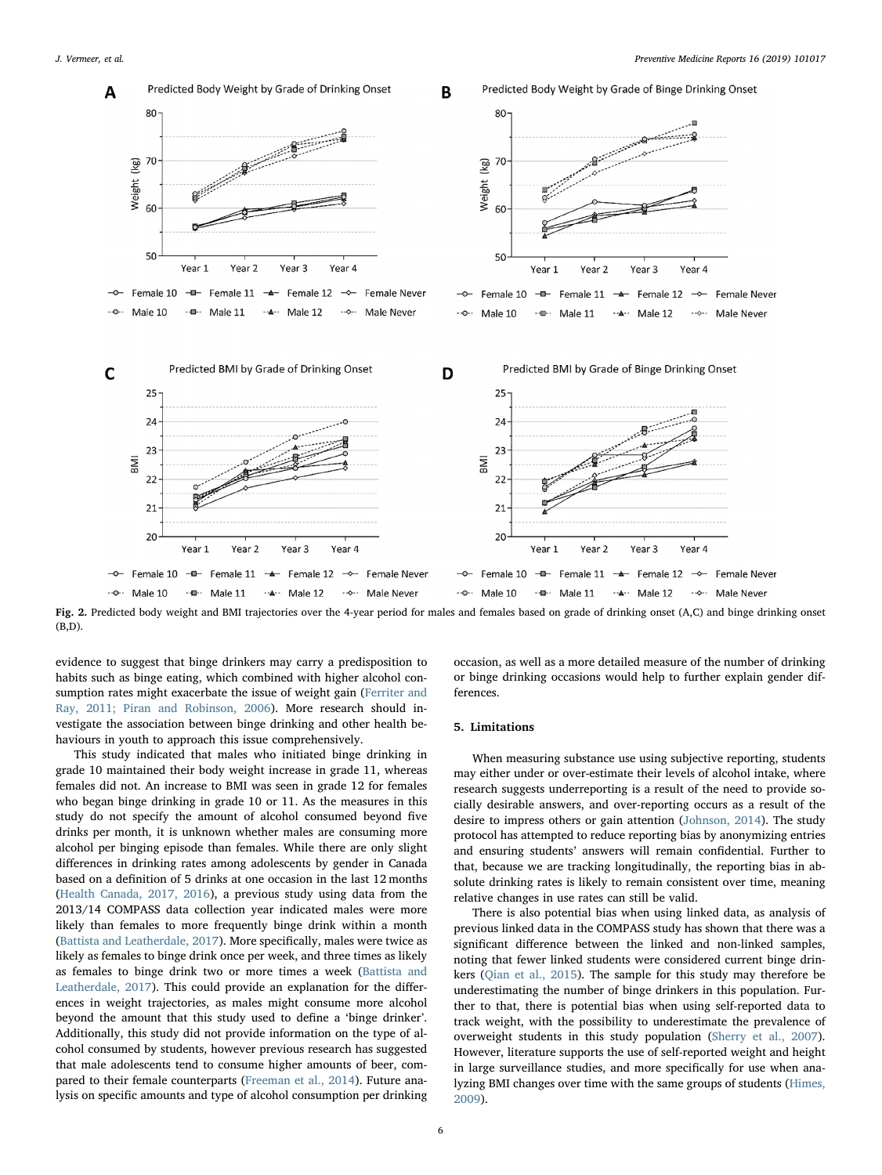<span id="page-5-0"></span>

Fig. 2. Predicted body weight and BMI trajectories over the 4-year period for males and females based on grade of drinking onset (A,C) and binge drinking onset (B,D).

evidence to suggest that binge drinkers may carry a predisposition to habits such as binge eating, which combined with higher alcohol consumption rates might exacerbate the issue of weight gain [\(Ferriter and](#page-6-14) [Ray, 2011; Piran and Robinson, 2006\)](#page-6-14). More research should investigate the association between binge drinking and other health behaviours in youth to approach this issue comprehensively.

This study indicated that males who initiated binge drinking in grade 10 maintained their body weight increase in grade 11, whereas females did not. An increase to BMI was seen in grade 12 for females who began binge drinking in grade 10 or 11. As the measures in this study do not specify the amount of alcohol consumed beyond five drinks per month, it is unknown whether males are consuming more alcohol per binging episode than females. While there are only slight differences in drinking rates among adolescents by gender in Canada based on a definition of 5 drinks at one occasion in the last 12 months ([Health Canada, 2017, 2016\)](#page-6-2), a previous study using data from the 2013/14 COMPASS data collection year indicated males were more likely than females to more frequently binge drink within a month ([Battista and Leatherdale, 2017\)](#page-6-3). More specifically, males were twice as likely as females to binge drink once per week, and three times as likely as females to binge drink two or more times a week ([Battista and](#page-6-3) [Leatherdale, 2017](#page-6-3)). This could provide an explanation for the differences in weight trajectories, as males might consume more alcohol beyond the amount that this study used to define a 'binge drinker'. Additionally, this study did not provide information on the type of alcohol consumed by students, however previous research has suggested that male adolescents tend to consume higher amounts of beer, compared to their female counterparts ([Freeman et al., 2014\)](#page-6-15). Future analysis on specific amounts and type of alcohol consumption per drinking occasion, as well as a more detailed measure of the number of drinking or binge drinking occasions would help to further explain gender differences.

#### 5. Limitations

When measuring substance use using subjective reporting, students may either under or over-estimate their levels of alcohol intake, where research suggests underreporting is a result of the need to provide socially desirable answers, and over-reporting occurs as a result of the desire to impress others or gain attention ([Johnson, 2014](#page-7-11)). The study protocol has attempted to reduce reporting bias by anonymizing entries and ensuring students' answers will remain confidential. Further to that, because we are tracking longitudinally, the reporting bias in absolute drinking rates is likely to remain consistent over time, meaning relative changes in use rates can still be valid.

There is also potential bias when using linked data, as analysis of previous linked data in the COMPASS study has shown that there was a significant difference between the linked and non-linked samples, noting that fewer linked students were considered current binge drinkers [\(Qian et al., 2015\)](#page-7-12). The sample for this study may therefore be underestimating the number of binge drinkers in this population. Further to that, there is potential bias when using self-reported data to track weight, with the possibility to underestimate the prevalence of overweight students in this study population [\(Sherry et al., 2007](#page-7-13)). However, literature supports the use of self-reported weight and height in large surveillance studies, and more specifically for use when analyzing BMI changes over time with the same groups of students [\(Himes,](#page-7-14) [2009\)](#page-7-14).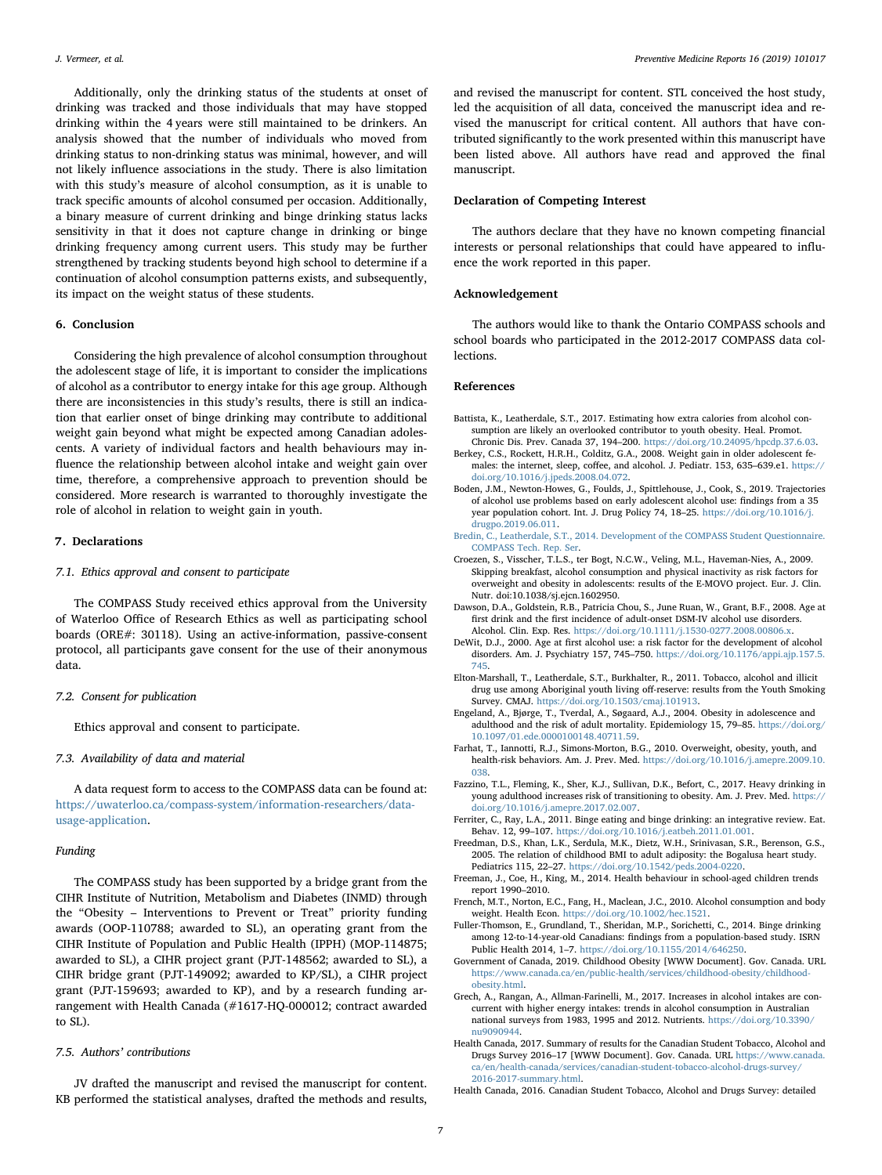Additionally, only the drinking status of the students at onset of drinking was tracked and those individuals that may have stopped drinking within the 4 years were still maintained to be drinkers. An analysis showed that the number of individuals who moved from drinking status to non-drinking status was minimal, however, and will not likely influence associations in the study. There is also limitation with this study's measure of alcohol consumption, as it is unable to track specific amounts of alcohol consumed per occasion. Additionally, a binary measure of current drinking and binge drinking status lacks sensitivity in that it does not capture change in drinking or binge drinking frequency among current users. This study may be further strengthened by tracking students beyond high school to determine if a continuation of alcohol consumption patterns exists, and subsequently, its impact on the weight status of these students.

## 6. Conclusion

Considering the high prevalence of alcohol consumption throughout the adolescent stage of life, it is important to consider the implications of alcohol as a contributor to energy intake for this age group. Although there are inconsistencies in this study's results, there is still an indication that earlier onset of binge drinking may contribute to additional weight gain beyond what might be expected among Canadian adolescents. A variety of individual factors and health behaviours may influence the relationship between alcohol intake and weight gain over time, therefore, a comprehensive approach to prevention should be considered. More research is warranted to thoroughly investigate the role of alcohol in relation to weight gain in youth.

### 7. Declarations

## 7.1. Ethics approval and consent to participate

The COMPASS Study received ethics approval from the University of Waterloo Office of Research Ethics as well as participating school boards (ORE#: 30118). Using an active-information, passive-consent protocol, all participants gave consent for the use of their anonymous data.

#### 7.2. Consent for publication

Ethics approval and consent to participate.

#### 7.3. Availability of data and material

A data request form to access to the COMPASS data can be found at: [https://uwaterloo.ca/compass-system/information-researchers/data](https://uwaterloo.ca/compass-system/information-researchers/data-usage-application)[usage-application](https://uwaterloo.ca/compass-system/information-researchers/data-usage-application).

#### Funding

The COMPASS study has been supported by a bridge grant from the CIHR Institute of Nutrition, Metabolism and Diabetes (INMD) through the "Obesity – Interventions to Prevent or Treat" priority funding awards (OOP-110788; awarded to SL), an operating grant from the CIHR Institute of Population and Public Health (IPPH) (MOP-114875; awarded to SL), a CIHR project grant (PJT-148562; awarded to SL), a CIHR bridge grant (PJT-149092; awarded to KP/SL), a CIHR project grant (PJT-159693; awarded to KP), and by a research funding arrangement with Health Canada (#1617-HQ-000012; contract awarded to SL).

#### 7.5. Authors' contributions

JV drafted the manuscript and revised the manuscript for content. KB performed the statistical analyses, drafted the methods and results,

and revised the manuscript for content. STL conceived the host study, led the acquisition of all data, conceived the manuscript idea and revised the manuscript for critical content. All authors that have contributed significantly to the work presented within this manuscript have been listed above. All authors have read and approved the final manuscript.

## Declaration of Competing Interest

The authors declare that they have no known competing financial interests or personal relationships that could have appeared to influence the work reported in this paper.

## Acknowledgement

The authors would like to thank the Ontario COMPASS schools and school boards who participated in the 2012-2017 COMPASS data collections.

#### References

- <span id="page-6-3"></span>Battista, K., Leatherdale, S.T., 2017. Estimating how extra calories from alcohol consumption are likely an overlooked contributor to youth obesity. Heal. Promot. Chronic Dis. Prev. Canada 37, 194–200. <https://doi.org/10.24095/hpcdp.37.6.03>.
- <span id="page-6-6"></span>Berkey, C.S., Rockett, H.R.H., Colditz, G.A., 2008. Weight gain in older adolescent females: the internet, sleep, coffee, and alcohol. J. Pediatr. 153, 635–639.e1. [https://](https://doi.org/10.1016/j.jpeds.2008.04.072) [doi.org/10.1016/j.jpeds.2008.04.072](https://doi.org/10.1016/j.jpeds.2008.04.072).
- <span id="page-6-4"></span>Boden, J.M., Newton-Howes, G., Foulds, J., Spittlehouse, J., Cook, S., 2019. Trajectories of alcohol use problems based on early adolescent alcohol use: findings from a 35 year population cohort. Int. J. Drug Policy 74, 18–25. [https://doi.org/10.1016/j.](https://doi.org/10.1016/j.drugpo.2019.06.011) [drugpo.2019.06.011](https://doi.org/10.1016/j.drugpo.2019.06.011).
- <span id="page-6-7"></span>[Bredin, C., Leatherdale, S.T., 2014. Development of the COMPASS Student Questionnaire.](http://refhub.elsevier.com/S2211-3355(19)30188-3/h0020) [COMPASS Tech. Rep. Ser.](http://refhub.elsevier.com/S2211-3355(19)30188-3/h0020)
- <span id="page-6-11"></span>Croezen, S., Visscher, T.L.S., ter Bogt, N.C.W., Veling, M.L., Haveman-Nies, A., 2009. Skipping breakfast, alcohol consumption and physical inactivity as risk factors for overweight and obesity in adolescents: results of the E-MOVO project. Eur. J. Clin. Nutr. doi:10.1038/sj.ejcn.1602950.
- <span id="page-6-5"></span>Dawson, D.A., Goldstein, R.B., Patricia Chou, S., June Ruan, W., Grant, B.F., 2008. Age at first drink and the first incidence of adult-onset DSM-IV alcohol use disorders. Alcohol. Clin. Exp. Res. [https://doi.org/10.1111/j.1530-0277.2008.00806.x.](https://doi.org/10.1111/j.1530-0277.2008.00806.x)
- DeWit, D.J., 2000. Age at first alcohol use: a risk factor for the development of alcohol disorders. Am. J. Psychiatry 157, 745–750. [https://doi.org/10.1176/appi.ajp.157.5.](https://doi.org/10.1176/appi.ajp.157.5.745) [745](https://doi.org/10.1176/appi.ajp.157.5.745).
- <span id="page-6-8"></span>Elton-Marshall, T., Leatherdale, S.T., Burkhalter, R., 2011. Tobacco, alcohol and illicit drug use among Aboriginal youth living off-reserve: results from the Youth Smoking Survey. CMAJ. <https://doi.org/10.1503/cmaj.101913>.
- <span id="page-6-1"></span>Engeland, A., Bjørge, T., Tverdal, A., Søgaard, A.J., 2004. Obesity in adolescence and adulthood and the risk of adult mortality. Epidemiology 15, 79–85. [https://doi.org/](https://doi.org/10.1097/01.ede.0000100148.40711.59)  $\,$ [10.1097/01.ede.0000100148.40711.59](https://doi.org/10.1097/01.ede.0000100148.40711.59).
- <span id="page-6-13"></span>Farhat, T., Iannotti, R.J., Simons-Morton, B.G., 2010. Overweight, obesity, youth, and health-risk behaviors. Am. J. Prev. Med. [https://doi.org/10.1016/j.amepre.2009.10.](https://doi.org/10.1016/j.amepre.2009.10.038) [038](https://doi.org/10.1016/j.amepre.2009.10.038).
- <span id="page-6-10"></span>Fazzino, T.L., Fleming, K., Sher, K.J., Sullivan, D.K., Befort, C., 2017. Heavy drinking in young adulthood increases risk of transitioning to obesity. Am. J. Prev. Med. [https://](https://doi.org/10.1016/j.amepre.2017.02.007) [doi.org/10.1016/j.amepre.2017.02.007](https://doi.org/10.1016/j.amepre.2017.02.007).
- <span id="page-6-14"></span>Ferriter, C., Ray, L.A., 2011. Binge eating and binge drinking: an integrative review. Eat. Behav. 12, 99–107. [https://doi.org/10.1016/j.eatbeh.2011.01.001.](https://doi.org/10.1016/j.eatbeh.2011.01.001)
- Freedman, D.S., Khan, L.K., Serdula, M.K., Dietz, W.H., Srinivasan, S.R., Berenson, G.S., 2005. The relation of childhood BMI to adult adiposity: the Bogalusa heart study. Pediatrics 115, 22–27. [https://doi.org/10.1542/peds.2004-0220.](https://doi.org/10.1542/peds.2004-0220)
- <span id="page-6-15"></span>Freeman, J., Coe, H., King, M., 2014. Health behaviour in school-aged children trends report 1990–2010.
- <span id="page-6-12"></span>French, M.T., Norton, E.C., Fang, H., Maclean, J.C., 2010. Alcohol consumption and body weight. Health Econ. <https://doi.org/10.1002/hec.1521>.
- <span id="page-6-9"></span>Fuller-Thomson, E., Grundland, T., Sheridan, M.P., Sorichetti, C., 2014. Binge drinking among 12-to-14-year-old Canadians: findings from a population-based study. ISRN Public Health 2014, 1–7. [https://doi.org/10.1155/2014/646250.](https://doi.org/10.1155/2014/646250)
- <span id="page-6-0"></span>Government of Canada, 2019. Childhood Obesity [WWW Document]. Gov. Canada. URL [https://www.canada.ca/en/public-health/services/childhood-obesity/childhood](https://www.canada.ca/en/public-health/services/childhood-obesity/childhood-obesity.html)[obesity.html.](https://www.canada.ca/en/public-health/services/childhood-obesity/childhood-obesity.html)
- Grech, A., Rangan, A., Allman-Farinelli, M., 2017. Increases in alcohol intakes are concurrent with higher energy intakes: trends in alcohol consumption in Australian national surveys from 1983, 1995 and 2012. Nutrients. [https://doi.org/10.3390/](https://doi.org/10.3390/nu9090944) [nu9090944.](https://doi.org/10.3390/nu9090944)
- <span id="page-6-2"></span>Health Canada, 2017. Summary of results for the Canadian Student Tobacco, Alcohol and Drugs Survey 2016–17 [WWW Document]. Gov. Canada. URL [https://www.canada.](https://www.canada.ca/en/health-canada/services/canadian-student-tobacco-alcohol-drugs-survey/2016-2017-summary.html) [ca/en/health-canada/services/canadian-student-tobacco-alcohol-drugs-survey/](https://www.canada.ca/en/health-canada/services/canadian-student-tobacco-alcohol-drugs-survey/2016-2017-summary.html) [2016-2017-summary.html](https://www.canada.ca/en/health-canada/services/canadian-student-tobacco-alcohol-drugs-survey/2016-2017-summary.html).
- Health Canada, 2016. Canadian Student Tobacco, Alcohol and Drugs Survey: detailed